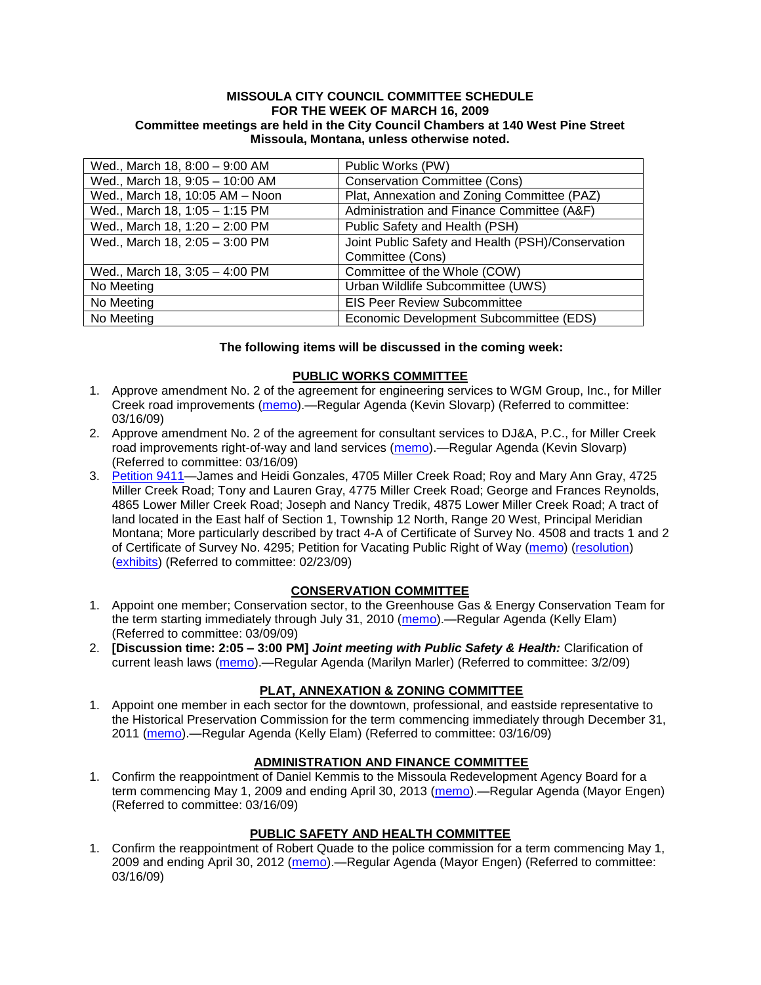#### **MISSOULA CITY COUNCIL COMMITTEE SCHEDULE FOR THE WEEK OF MARCH 16, 2009 Committee meetings are held in the City Council Chambers at 140 West Pine Street Missoula, Montana, unless otherwise noted.**

| Wed., March 18, 8:00 - 9:00 AM  | Public Works (PW)                                 |
|---------------------------------|---------------------------------------------------|
| Wed., March 18, 9:05 - 10:00 AM | <b>Conservation Committee (Cons)</b>              |
| Wed., March 18, 10:05 AM - Noon | Plat, Annexation and Zoning Committee (PAZ)       |
| Wed., March 18, 1:05 - 1:15 PM  | Administration and Finance Committee (A&F)        |
| Wed., March 18, 1:20 - 2:00 PM  | Public Safety and Health (PSH)                    |
| Wed., March 18, 2:05 - 3:00 PM  | Joint Public Safety and Health (PSH)/Conservation |
|                                 | Committee (Cons)                                  |
| Wed., March 18, 3:05 - 4:00 PM  | Committee of the Whole (COW)                      |
| No Meeting                      | Urban Wildlife Subcommittee (UWS)                 |
| No Meeting                      | <b>EIS Peer Review Subcommittee</b>               |
| No Meeting                      | Economic Development Subcommittee (EDS)           |

#### **The following items will be discussed in the coming week:**

## **PUBLIC WORKS COMMITTEE**

- 1. Approve amendment No. 2 of the agreement for engineering services to WGM Group, Inc., for Miller Creek road improvements [\(memo\)](ftp://ftp.ci.missoula.mt.us/packets/council/2009/2009-03-16/Referrals/WGMAmend2MllrCkREF.pdf).—Regular Agenda (Kevin Slovarp) (Referred to committee: 03/16/09)
- 2. Approve amendment No. 2 of the agreement for consultant services to DJ&A, P.C., for Miller Creek road improvements right-of-way and land services [\(memo\)](ftp://ftp.ci.missoula.mt.us/packets/council/2009/2009-03-16/Referrals/DJAMod2MllrCkREF.pdf).—Regular Agenda (Kevin Slovarp) (Referred to committee: 03/16/09)
- 3. [Petition 9411—](ftp://ftp.ci.missoula.mt.us/Packets/Council/2009/2009-02-23/Referrals/Petition9411.pdf)James and Heidi Gonzales, 4705 Miller Creek Road; Roy and Mary Ann Gray, 4725 Miller Creek Road; Tony and Lauren Gray, 4775 Miller Creek Road; George and Frances Reynolds, 4865 Lower Miller Creek Road; Joseph and Nancy Tredik, 4875 Lower Miller Creek Road; A tract of land located in the East half of Section 1, Township 12 North, Range 20 West, Principal Meridian Montana; More particularly described by tract 4-A of Certificate of Survey No. 4508 and tracts 1 and 2 of Certificate of Survey No. 4295; Petition for Vacating Public Right of Way [\(memo\)](ftp://ftp.ci.missoula.mt.us/packets/council/2009/2009-03-16/Referrals/MllrCkROWVacMemo.pdf) [\(resolution\)](ftp://ftp.ci.missoula.mt.us/packets/council/2009/2009-03-16/Referrals/MllrCkROWVacRES.pdf) [\(exhibits\)](ftp://ftp.ci.missoula.mt.us/packets/council/2009/2009-03-16/Referrals/MllrCkROWVacExhibits.pdf) (Referred to committee: 02/23/09)

### **CONSERVATION COMMITTEE**

- 1. Appoint one member; Conservation sector, to the Greenhouse Gas & Energy Conservation Team for the term starting immediately through July 31, 2010 [\(memo\)](ftp://ftp.ci.missoula.mt.us/Packets/Council/2009/2009-03-09/Referrals/090311GGECReferral.pdf).—Regular Agenda (Kelly Elam) (Referred to committee: 03/09/09)
- 2. **[Discussion time: 2:05 – 3:00 PM]** *Joint meeting with Public Safety & Health:* Clarification of current leash laws [\(memo\)](ftp://ftp.ci.missoula.mt.us/Packets/Council/2009/2009-03-02/Referrals/leash_law_discussion_referral.pdf).—Regular Agenda (Marilyn Marler) (Referred to committee: 3/2/09)

### **PLAT, ANNEXATION & ZONING COMMITTEE**

1. Appoint one member in each sector for the downtown, professional, and eastside representative to the Historical Preservation Commission for the term commencing immediately through December 31, 2011 [\(memo\)](ftp://ftp.ci.missoula.mt.us/Packets/Council/2009/2009-03-16/Referrals/HPCreferral.pdf).—Regular Agenda (Kelly Elam) (Referred to committee: 03/16/09)

### **ADMINISTRATION AND FINANCE COMMITTEE**

1. Confirm the reappointment of Daniel Kemmis to the Missoula Redevelopment Agency Board for a term commencing May 1, 2009 and ending April 30, 2013 [\(memo\)](ftp://ftp.ci.missoula.mt.us/Packets/Council/2009/2009-03-16/Referrals/KemmisReferral.pdf).—Regular Agenda (Mayor Engen) (Referred to committee: 03/16/09)

### **PUBLIC SAFETY AND HEALTH COMMITTEE**

1. Confirm the reappointment of Robert Quade to the police commission for a term commencing May 1, 2009 and ending April 30, 2012 [\(memo\)](ftp://ftp.ci.missoula.mt.us/Packets/Council/2009/2009-03-16/Referrals/QuadeReferral.pdf).—Regular Agenda (Mayor Engen) (Referred to committee: 03/16/09)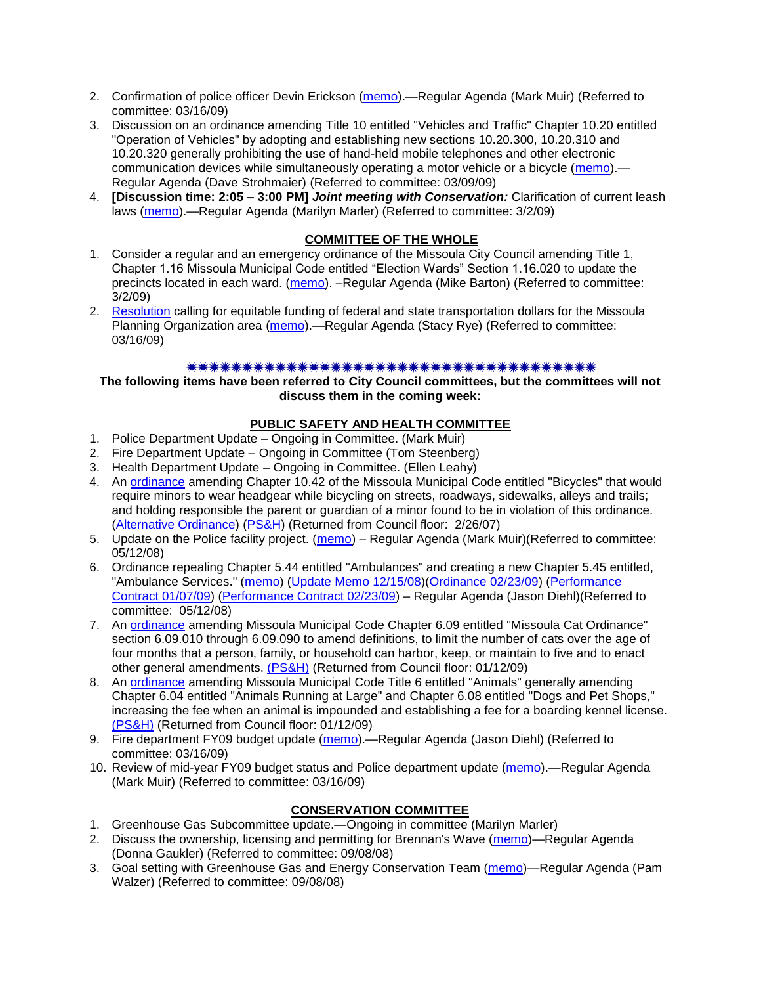- 2. Confirmation of police officer Devin Erickson [\(memo\)](ftp://ftp.ci.missoula.mt.us/Packets/Council/2009/2009-03-16/Referrals/OfficerConfirmationEricksonReferral.pdf).—Regular Agenda (Mark Muir) (Referred to committee: 03/16/09)
- 3. Discussion on an ordinance amending Title 10 entitled "Vehicles and Traffic" Chapter 10.20 entitled "Operation of Vehicles" by adopting and establishing new sections 10.20.300, 10.20.310 and 10.20.320 generally prohibiting the use of hand-held mobile telephones and other electronic communication devices while simultaneously operating a motor vehicle or a bicycle [\(memo\)](ftp://ftp.ci.missoula.mt.us/Packets/Council/2009/2009-03-09/Referrals/CellPhonesReferral.pdf).— Regular Agenda (Dave Strohmaier) (Referred to committee: 03/09/09)
- 4. **[Discussion time: 2:05 – 3:00 PM]** *Joint meeting with Conservation:* Clarification of current leash laws [\(memo\)](ftp://ftp.ci.missoula.mt.us/Packets/Council/2009/2009-03-02/Referrals/leash_law_discussion_referral.pdf).—Regular Agenda (Marilyn Marler) (Referred to committee: 3/2/09)

# **COMMITTEE OF THE WHOLE**

- 1. Consider a regular and an emergency ordinance of the Missoula City Council amending Title 1, Chapter 1.16 Missoula Municipal Code entitled "Election Wards" Section 1.16.020 to update the precincts located in each ward. [\(memo\)](ftp://ftp.ci.missoula.mt.us/Packets/Council/2009/2009-03-02/Referrals/Wardboundaryreferral09.pdf). –Regular Agenda (Mike Barton) (Referred to committee: 3/2/09)
- 2. [Resolution](ftp://ftp.ci.missoula.mt.us/Packets/Council/2009/2009-03-23/TransportationResolution.pdf) calling for equitable funding of federal and state transportation dollars for the Missoula Planning Organization area [\(memo\)](ftp://ftp.ci.missoula.mt.us/Packets/Council/2009/2009-03-16/Referrals/TPCC.pdf).—Regular Agenda (Stacy Rye) (Referred to committee: 03/16/09)

#### 

#### **The following items have been referred to City Council committees, but the committees will not discuss them in the coming week:**

## **PUBLIC SAFETY AND HEALTH COMMITTEE**

- 1. Police Department Update Ongoing in Committee. (Mark Muir)
- 2. Fire Department Update Ongoing in Committee (Tom Steenberg)
- 3. Health Department Update Ongoing in Committee. (Ellen Leahy)
- 4. An **ordinance** amending Chapter 10.42 of the Missoula Municipal Code entitled "Bicycles" that would require minors to wear headgear while bicycling on streets, roadways, sidewalks, alleys and trails; and holding responsible the parent or guardian of a minor found to be in violation of this ordinance. [\(Alternative Ordinance\)](ftp://ftp.ci.missoula.mt.us/Packets/Council/2007/2007-02-26/07-02-19_Alternative_Helmet_and_bikes.htm) [\(PS&H\)](ftp://ftp.ci.missoula.mt.us/Packets/Council/2007/2007-02-05/070131psh.pdf) (Returned from Council floor: 2/26/07)
- 5. Update on the Police facility project. [\(memo\)](ftp://ftp.ci.missoula.mt.us/Packets/Council/2008/2008-05-12/Referrals/Buildingpresentationreferral.htm) Regular Agenda (Mark Muir)(Referred to committee: 05/12/08)
- 6. Ordinance repealing Chapter 5.44 entitled "Ambulances" and creating a new Chapter 5.45 entitled, "Ambulance Services." [\(memo\)](ftp://ftp.ci.missoula.mt.us/Packets/Council/2008/2008-05-12/Referrals/080508AmbulanceOrdinanceReferral.htm) [\(Update Memo 12/15/08\)](ftp://ftp.ci.missoula.mt.us/Packets/Council/2008/2008-12-15/081212AmbulanceOrdinanceReferralUpdated.pdf)[\(Ordinance 02/23/09\)](ftp://ftp.ci.missoula.mt.us/Packets/Council/2009/2009-04-06/AmbulanceOrdinanceFinal090223.pdf) [\(Performance](ftp://ftp.ci.missoula.mt.us/Packets/Council/2009/2009-01-12/MESIPerformanceContract090107.pdf)  [Contract 01/07/09\)](ftp://ftp.ci.missoula.mt.us/Packets/Council/2009/2009-01-12/MESIPerformanceContract090107.pdf) [\(Performance Contract 02/23/09\)](ftp://ftp.ci.missoula.mt.us/Packets/Council/2009/2009-04-06/PerformanceContractFinal090223.pdf) – Regular Agenda (Jason Diehl)(Referred to committee: 05/12/08)
- 7. An [ordinance](ftp://ftp.ci.missoula.mt.us/Packets/Council/2008/2008-12-15/2008CatOrdinanceAmendment%5B1%5D.pdf) amending Missoula Municipal Code Chapter 6.09 entitled "Missoula Cat Ordinance" section 6.09.010 through 6.09.090 to amend definitions, to limit the number of cats over the age of four months that a person, family, or household can harbor, keep, or maintain to five and to enact other general amendments. [\(PS&H\)](ftp://ftp.ci.missoula.mt.us/Packets/Council/2008/2008-12-15/081210psh.pdf) (Returned from Council floor: 01/12/09)
- 8. An [ordinance](ftp://ftp.ci.missoula.mt.us/Packets/Council/2008/2008-12-15/DogOrdinance--PSHrevisions.pdf) amending Missoula Municipal Code Title 6 entitled "Animals" generally amending Chapter 6.04 entitled "Animals Running at Large" and Chapter 6.08 entitled "Dogs and Pet Shops," increasing the fee when an animal is impounded and establishing a fee for a boarding kennel license. [\(PS&H\)](ftp://ftp.ci.missoula.mt.us/Packets/Council/2008/2008-12-15/081210psh.pdf) (Returned from Council floor: 01/12/09)
- 9. Fire department FY09 budget update [\(memo\)](ftp://ftp.ci.missoula.mt.us/Packets/Council/2009/2009-03-16/Referrals/FireDeptFY09BudgetUpdateRef.pdf).—Regular Agenda (Jason Diehl) (Referred to committee: 03/16/09)
- 10. Review of mid-year FY09 budget status and Police department update [\(memo\)](ftp://ftp.ci.missoula.mt.us/Packets/Council/2009/2009-03-16/Referrals/PoliceDeptUpdateMidYearBudgetRef.pdf).—Regular Agenda (Mark Muir) (Referred to committee: 03/16/09)

### **CONSERVATION COMMITTEE**

- 1. Greenhouse Gas Subcommittee update.—Ongoing in committee (Marilyn Marler)
- 2. Discuss the ownership, licensing and permitting for Brennan's Wave [\(memo\)](ftp://ftp.ci.missoula.mt.us/Packets/Council/2008/2008-09-08/Referrals/ReferralBrennansWaveLicensing.pdf)—Regular Agenda (Donna Gaukler) (Referred to committee: 09/08/08)
- 3. Goal setting with Greenhouse Gas and Energy Conservation Team [\(memo\)](ftp://ftp.ci.missoula.mt.us/Packets/Council/2008/2008-09-08/Referrals/GGECTdialog.pdf)—Regular Agenda (Pam Walzer) (Referred to committee: 09/08/08)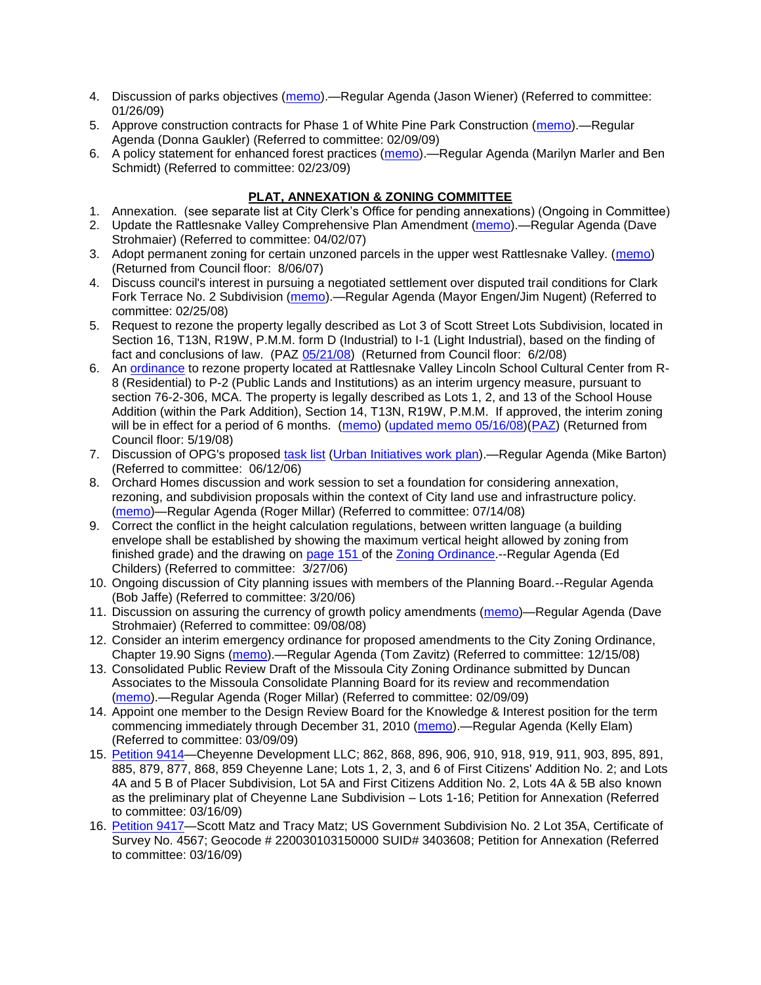- 4. Discussion of parks objectives [\(memo\)](ftp://ftp.ci.missoula.mt.us/Packets/Council/2009/2009-01-26/Referrals/parks_projects_referral.pdf).—Regular Agenda (Jason Wiener) (Referred to committee: 01/26/09)
- 5. Approve construction contracts for Phase 1 of White Pine Park Construction [\(memo\)](ftp://ftp.ci.missoula.mt.us/Packets/Council/2009/2009-02-09/Referrals/ReferralWhitePinePark/(2/).pdf).—Regular Agenda (Donna Gaukler) (Referred to committee: 02/09/09)
- 6. A policy statement for enhanced forest practices [\(memo\)](ftp://ftp.ci.missoula.mt.us/Packets/Council/2009/2009-02-23/Referrals/Forest_Practices_Referral.pdf).—Regular Agenda (Marilyn Marler and Ben Schmidt) (Referred to committee: 02/23/09)

# **PLAT, ANNEXATION & ZONING COMMITTEE**

- 1. Annexation. (see separate list at City Clerk's Office for pending annexations) (Ongoing in Committee)
- 2. Update the Rattlesnake Valley Comprehensive Plan Amendment [\(memo\)](ftp://ftp.ci.missoula.mt.us/Packets/Council/2007/2007-04-02/Referrals/Rattlesnake_Plan_Update_referral.pdf).—Regular Agenda (Dave Strohmaier) (Referred to committee: 04/02/07)
- 3. Adopt permanent zoning for certain unzoned parcels in the upper west Rattlesnake Valley. [\(memo\)](ftp://ftp.ci.missoula.mt.us/Packets/Council/2007/2007-03-26/Referrals/P-1_zoning_ref.htm) (Returned from Council floor: 8/06/07)
- 4. Discuss council's interest in pursuing a negotiated settlement over disputed trail conditions for Clark Fork Terrace No. 2 Subdivision [\(memo\)](ftp://ftp.ci.missoula.mt.us/Packets/Council/2008/2008-02-25/Referrals/Clark_Fork_Terrace_2.pdf).—Regular Agenda (Mayor Engen/Jim Nugent) (Referred to committee: 02/25/08)
- 5. Request to rezone the property legally described as Lot 3 of Scott Street Lots Subdivision, located in Section 16, T13N, R19W, P.M.M. form D (Industrial) to I-1 (Light Industrial), based on the finding of fact and conclusions of law. (PAZ [05/21/08\)](ftp://ftp.ci.missoula.mt.us/Packets/Council/2008/2008-06-02/080521paz.pdf) (Returned from Council floor: 6/2/08)
- 6. An [ordinance](ftp://ftp.ci.missoula.mt.us/Packets/Council/2008/2008-05-19/Public_Hearings/LincolnSchoolInterimP-2ord.pdf) to rezone property located at Rattlesnake Valley Lincoln School Cultural Center from R-8 (Residential) to P-2 (Public Lands and Institutions) as an interim urgency measure, pursuant to section 76-2-306, MCA. The property is legally described as Lots 1, 2, and 13 of the School House Addition (within the Park Addition), Section 14, T13N, R19W, P.M.M. If approved, the interim zoning will be in effect for a period of 6 months. [\(memo\)](ftp://ftp.ci.missoula.mt.us/Packets/Council/2008/2008-05-19/Public_Hearings/LincolnSchoolInterimPermZonMemo.pdf) [\(updated memo 05/16/08\)](ftp://ftp.ci.missoula.mt.us/Packets/Council/2008/2008-05-19/Public_Hearings/LincolnSchoolInterimPermZonMemo.pdf)[\(PAZ\)](ftp://ftp.ci.missoula.mt.us/Packets/Council/2008/2008-05-12/080507paz.htm) (Returned from Council floor: 5/19/08)
- 7. Discussion of OPG's proposed [task list](ftp://ftp.ci.missoula.mt.us/Packets/Council/2008/2008-07-07/UITaskList.pdf) [\(Urban Initiatives work plan\)](ftp://ftp.ci.missoula.mt.us/Packets/Council/2006/2006-06-12/Referrals/Urban_Init.htm).—Regular Agenda (Mike Barton) (Referred to committee: 06/12/06)
- 8. Orchard Homes discussion and work session to set a foundation for considering annexation, rezoning, and subdivision proposals within the context of City land use and infrastructure policy. [\(memo\)](ftp://ftp.ci.missoula.mt.us/Packets/Council/2008/2008-07-14/Referrals/OrchardHomesDiscMemo.pdf)—Regular Agenda (Roger Millar) (Referred to committee: 07/14/08)
- 9. Correct the conflict in the height calculation regulations, between written language (a building envelope shall be established by showing the maximum vertical height allowed by zoning from finished grade) and the drawing on [page 151 o](ftp://www.co.missoula.mt.us/opg2/Documents/CurrentRegulations/CityZoningTitle19/CH19.67Hillside.pdf)f the [Zoning Ordinance.](ftp://www.co.missoula.mt.us/opg2/Documents/CurrentRegulations/CityZoningTitle19/CityOrdinanceLP.htm)--Regular Agenda (Ed Childers) (Referred to committee: 3/27/06)
- 10. Ongoing discussion of City planning issues with members of the Planning Board.--Regular Agenda (Bob Jaffe) (Referred to committee: 3/20/06)
- 11. Discussion on assuring the currency of growth policy amendments [\(memo\)](ftp://ftp.ci.missoula.mt.us/Packets/Council/2008/2008-09-08/Referrals/Plan_updates.pdf)—Regular Agenda (Dave Strohmaier) (Referred to committee: 09/08/08)
- 12. Consider an interim emergency ordinance for proposed amendments to the City Zoning Ordinance, Chapter 19.90 Signs [\(memo\)](ftp://ftp.ci.missoula.mt.us/Packets/Council/2008/2008-12-15/Referrals/ElectronicSignOrdinanceMemo.pdf).—Regular Agenda (Tom Zavitz) (Referred to committee: 12/15/08)
- 13. Consolidated Public Review Draft of the Missoula City Zoning Ordinance submitted by Duncan Associates to the Missoula Consolidate Planning Board for its review and recommendation [\(memo\)](ftp://ftp.ci.missoula.mt.us/Packets/Council/2009/2009-02-09/Referrals/CodeRewritetoPBMemo.pdf).—Regular Agenda (Roger Millar) (Referred to committee: 02/09/09)
- 14. Appoint one member to the Design Review Board for the Knowledge & Interest position for the term commencing immediately through December 31, 2010 [\(memo\)](ftp://ftp.ci.missoula.mt.us/Packets/Council/2009/2009-03-09/Referrals/090311DRBreferal.pdf).—Regular Agenda (Kelly Elam) (Referred to committee: 03/09/09)
- 15. [Petition 9414—](ftp://ftp.ci.missoula.mt.us/Packets/Council/2009/2009-03-16/Referrals/Petition9414.pdf)Cheyenne Development LLC; 862, 868, 896, 906, 910, 918, 919, 911, 903, 895, 891, 885, 879, 877, 868, 859 Cheyenne Lane; Lots 1, 2, 3, and 6 of First Citizens' Addition No. 2; and Lots 4A and 5 B of Placer Subdivision, Lot 5A and First Citizens Addition No. 2, Lots 4A & 5B also known as the preliminary plat of Cheyenne Lane Subdivision – Lots 1-16; Petition for Annexation (Referred to committee: 03/16/09)
- 16. [Petition 9417—](ftp://ftp.ci.missoula.mt.us/Packets/Council/2009/2009-03-16/Referrals/Petition9417.pdf)Scott Matz and Tracy Matz; US Government Subdivision No. 2 Lot 35A, Certificate of Survey No. 4567; Geocode # 220030103150000 SUID# 3403608; Petition for Annexation (Referred to committee: 03/16/09)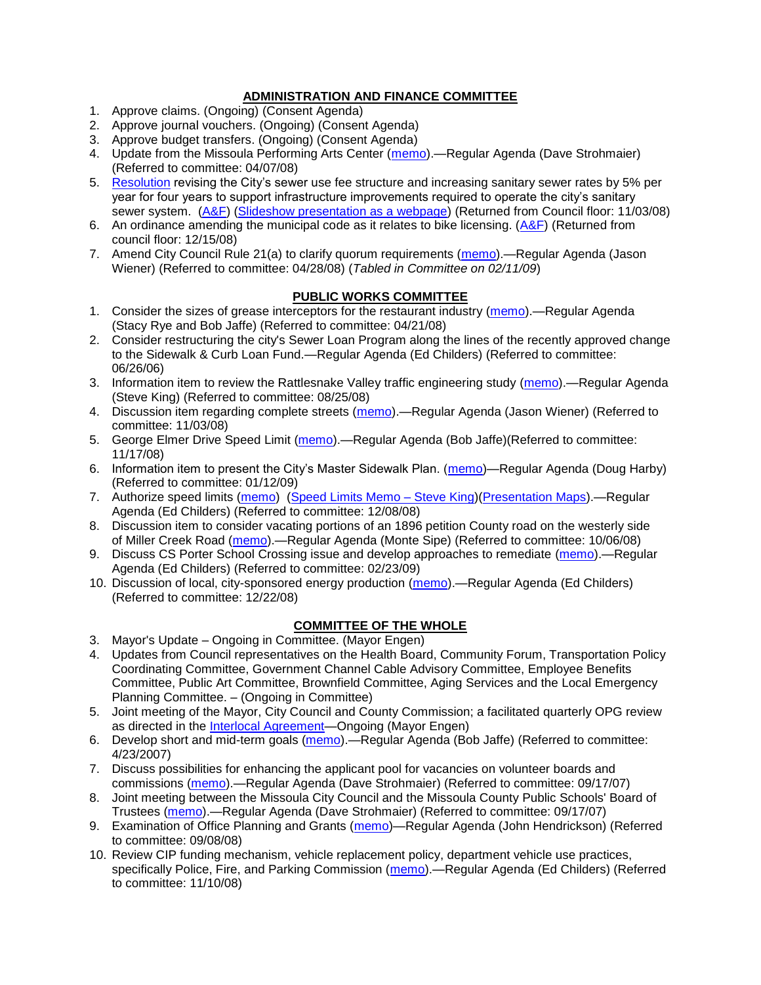## **ADMINISTRATION AND FINANCE COMMITTEE**

- 1. Approve claims. (Ongoing) (Consent Agenda)
- 2. Approve journal vouchers. (Ongoing) (Consent Agenda)
- 3. Approve budget transfers. (Ongoing) (Consent Agenda)
- 4. Update from the Missoula Performing Arts Center [\(memo\)](ftp://ftp.ci.missoula.mt.us/Packets/Council/2008/2008-04-07/Referrals/Performing_Arts_Center.pdf).—Regular Agenda (Dave Strohmaier) (Referred to committee: 04/07/08)
- 5. [Resolution](ftp://ftp.ci.missoula.mt.us/Packets/Council/2008/2008-09-22/referrals/Sewerrateresolution.pdf) revising the City's sewer use fee structure and increasing sanitary sewer rates by 5% per year for four years to support infrastructure improvements required to operate the city's sanitary sewer system. [\(A&F\)](ftp://ftp.ci.missoula.mt.us/Packets/Council/2008/2008-10-06/081001af.pdf) [\(Slideshow presentation as a webpage\)](ftp://ftp.ci.missoula.mt.us/Packets/Council/2008/2008-11-03/2008-11-03SewerUserRateIncrease_files/frame.htm) (Returned from Council floor: 11/03/08)
- 6. An ordinance amending the municipal code as it relates to bike licensing.  $(A&F)$  (Returned from council floor: 12/15/08)
- 7. Amend City Council Rule 21(a) to clarify quorum requirements [\(memo\)](ftp://ftp.ci.missoula.mt.us/Packets/Council/2008/2008-04-28/Referrals/CouncilRule21aReferral.pdf).—Regular Agenda (Jason Wiener) (Referred to committee: 04/28/08) (*Tabled in Committee on 02/11/09*)

## **PUBLIC WORKS COMMITTEE**

- 1. Consider the sizes of grease interceptors for the restaurant industry [\(memo\)](ftp://ftp.ci.missoula.mt.us/Packets/Council/2008/2008-04-21/Referrals/Industrial_waste_restaurants.pdf).—Regular Agenda (Stacy Rye and Bob Jaffe) (Referred to committee: 04/21/08)
- 2. Consider restructuring the city's Sewer Loan Program along the lines of the recently approved change to the Sidewalk & Curb Loan Fund.—Regular Agenda (Ed Childers) (Referred to committee: 06/26/06)
- 3. Information item to review the Rattlesnake Valley traffic engineering study [\(memo\)](ftp://ftp.ci.missoula.mt.us/packets/council/2008/2008-08-25/Referrals/RsnakeTrfficStudyREF.pdf).—Regular Agenda (Steve King) (Referred to committee: 08/25/08)
- 4. Discussion item regarding complete streets [\(memo\)](ftp://ftp.ci.missoula.mt.us/Packets/Council/2008/2008-11-03/Referrals/completestreetsreferral.pdf).—Regular Agenda (Jason Wiener) (Referred to committee: 11/03/08)
- 5. George Elmer Drive Speed Limit [\(memo\)](ftp://ftp.ci.missoula.mt.us/Packets/Council/2008/2008-11-17/Referrals/GeorgeElmerSpeedLimit.pdf).—Regular Agenda (Bob Jaffe)(Referred to committee: 11/17/08)
- 6. Information item to present the City's Master Sidewalk Plan. [\(memo\)](ftp://ftp.ci.missoula.mt.us/packets/council/2009/2009-01-12/Referrals/MstrSdwlkPlnREF.pdf)—Regular Agenda (Doug Harby) (Referred to committee: 01/12/09)
- 7. Authorize speed limits [\(memo\)](ftp://ftp.ci.missoula.mt.us/Packets/Council/2008/2008-12-08/Referrals/ReferralAuthorizeSpeedLimits.pdf) [\(Speed Limits Memo –](ftp://ftp.ci.missoula.mt.us/packets/council/2008/2008-12-15/Referrals/SpeedLimitMemo.pdf) Steve King)[\(Presentation Maps\)](ftp://ftp.ci.missoula.mt.us/packets/council/2009/2009-01-05/Referrals/SpeedPresentation.pdf).—Regular Agenda (Ed Childers) (Referred to committee: 12/08/08)
- 8. Discussion item to consider vacating portions of an 1896 petition County road on the westerly side of Miller Creek Road [\(memo\)](ftp://ftp.ci.missoula.mt.us/packets/council/2008/2008-10-06/Referrals/MllrCkROWVacREF.pdf).—Regular Agenda (Monte Sipe) (Referred to committee: 10/06/08)
- 9. Discuss CS Porter School Crossing issue and develop approaches to remediate [\(memo\)](ftp://ftp.ci.missoula.mt.us/Packets/Council/2009/2009-02-23/Referrals/ReferralCSPorter.pdf).—Regular Agenda (Ed Childers) (Referred to committee: 02/23/09)
- 10. Discussion of local, city-sponsored energy production [\(memo\)](ftp://ftp.ci.missoula.mt.us/Packets/Council/2008/2008-12-22/Referrals/LocaLPowerReferral.pdf).—Regular Agenda (Ed Childers) (Referred to committee: 12/22/08)

### **COMMITTEE OF THE WHOLE**

- 3. Mayor's Update Ongoing in Committee. (Mayor Engen)
- 4. Updates from Council representatives on the Health Board, Community Forum, Transportation Policy Coordinating Committee, Government Channel Cable Advisory Committee, Employee Benefits Committee, Public Art Committee, Brownfield Committee, Aging Services and the Local Emergency Planning Committee. – (Ongoing in Committee)
- 5. Joint meeting of the Mayor, City Council and County Commission; a facilitated quarterly OPG review as directed in the [Interlocal Agreement—](ftp://ftp.ci.missoula.mt.us/Documents/Mayor/OPG/Adopted-ILA-2005.pdf)Ongoing (Mayor Engen)
- 6. Develop short and mid-term goals [\(memo\)](ftp://ftp.ci.missoula.mt.us/Packets/Council/2007/2007-04-23/Referrals/Council_Goals.pdf).—Regular Agenda (Bob Jaffe) (Referred to committee: 4/23/2007)
- 7. Discuss possibilities for enhancing the applicant pool for vacancies on volunteer boards and commissions [\(memo\)](ftp://ftp.ci.missoula.mt.us/Packets/Council/2007/2007-09-17/Referrals/board_and_commission_recruitment.pdf).—Regular Agenda (Dave Strohmaier) (Referred to committee: 09/17/07)
- 8. Joint meeting between the Missoula City Council and the Missoula County Public Schools' Board of Trustees [\(memo\)](ftp://ftp.ci.missoula.mt.us/Packets/Council/2007/2007-09-17/Referrals/Council_School_Board_referral.pdf).—Regular Agenda (Dave Strohmaier) (Referred to committee: 09/17/07)
- 9. Examination of Office Planning and Grants [\(memo\)](ftp://ftp.ci.missoula.mt.us/Packets/Council/2008/2008-09-08/Referrals/080825HendricksonOPGreferral.pdf)—Regular Agenda (John Hendrickson) (Referred to committee: 09/08/08)
- 10. Review CIP funding mechanism, vehicle replacement policy, department vehicle use practices, specifically Police, Fire, and Parking Commission [\(memo\)](ftp://ftp.ci.missoula.mt.us/Packets/Council/2008/2008-11-10/Referrals/ReviewBudgetary.pdf).—Regular Agenda (Ed Childers) (Referred to committee: 11/10/08)